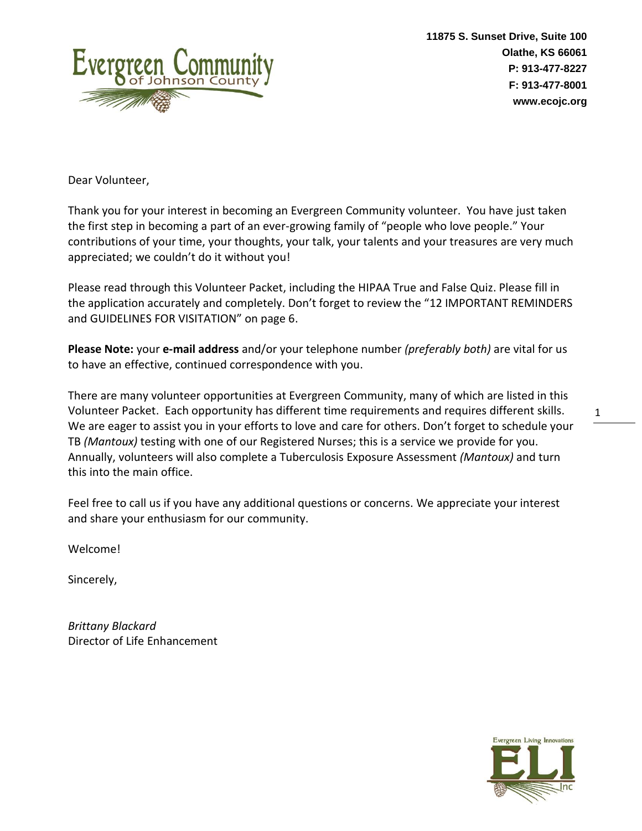

Dear Volunteer,

Thank you for your interest in becoming an Evergreen Community volunteer. You have just taken the first step in becoming a part of an ever-growing family of "people who love people." Your contributions of your time, your thoughts, your talk, your talents and your treasures are very much appreciated; we couldn't do it without you!

Please read through this Volunteer Packet, including the HIPAA True and False Quiz. Please fill in the application accurately and completely. Don't forget to review the "12 IMPORTANT REMINDERS and GUIDELINES FOR VISITATION" on page 6.

**Please Note:** your **e-mail address** and/or your telephone number *(preferably both)* are vital for us to have an effective, continued correspondence with you.

There are many volunteer opportunities at Evergreen Community, many of which are listed in this Volunteer Packet. Each opportunity has different time requirements and requires different skills. We are eager to assist you in your efforts to love and care for others. Don't forget to schedule your TB *(Mantoux)* testing with one of our Registered Nurses; this is a service we provide for you. Annually, volunteers will also complete a Tuberculosis Exposure Assessment *(Mantoux)* and turn this into the main office.

Feel free to call us if you have any additional questions or concerns. We appreciate your interest and share your enthusiasm for our community.

Welcome!

Sincerely,

*Brittany Blackard* Director of Life Enhancement

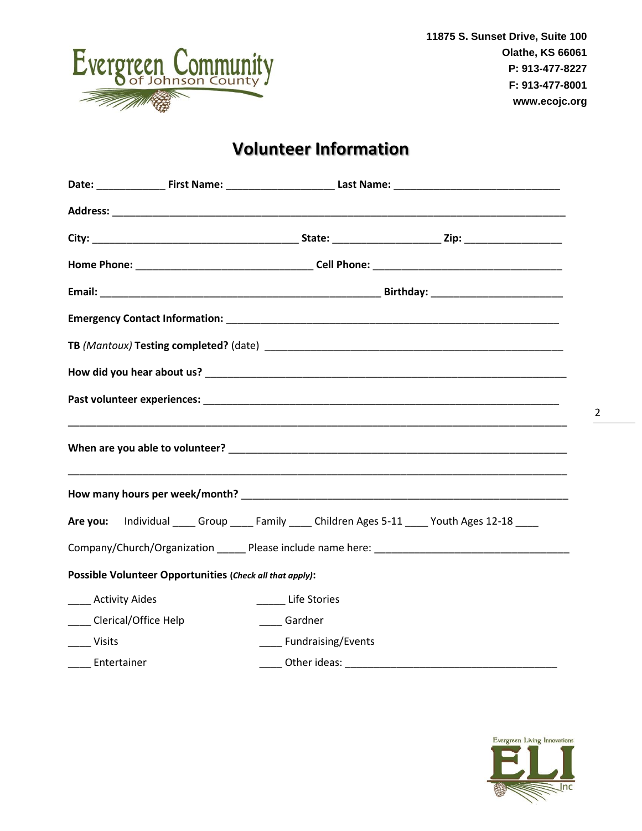

# **Volunteer Information**

|                  |                                                          |                         | Are you: Individual _____ Group _____ Family _____ Children Ages 5-11 ____ Youth Ages 12-18 ____ |
|------------------|----------------------------------------------------------|-------------------------|--------------------------------------------------------------------------------------------------|
|                  |                                                          |                         |                                                                                                  |
|                  | Possible Volunteer Opportunities (Check all that apply): |                         |                                                                                                  |
|                  | ____ Activity Aides                                      | ______ Life Stories     |                                                                                                  |
|                  | ____ Clerical/Office Help                                | ____ Gardner            |                                                                                                  |
| ____ Visits      |                                                          | ____ Fundraising/Events |                                                                                                  |
| ____ Entertainer |                                                          |                         |                                                                                                  |

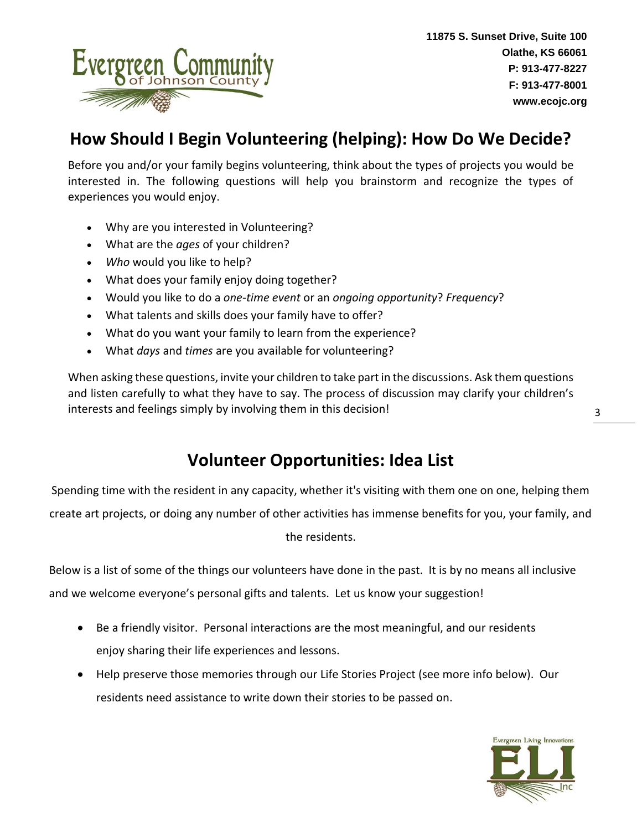

# **How Should I Begin Volunteering (helping): How Do We Decide?**

Before you and/or your family begins volunteering, think about the types of projects you would be interested in. The following questions will help you brainstorm and recognize the types of experiences you would enjoy.

- Why are you interested in Volunteering?
- What are the *ages* of your children?
- *Who* would you like to help?
- What does your family enjoy doing together?
- Would you like to do a *one-time event* or an *ongoing opportunity*? *Frequency*?
- What talents and skills does your family have to offer?
- What do you want your family to learn from the experience?
- What *days* and *times* are you available for volunteering?

When asking these questions, invite your children to take part in the discussions. Ask them questions and listen carefully to what they have to say. The process of discussion may clarify your children's interests and feelings simply by involving them in this decision!

### **Volunteer Opportunities: Idea List**

Spending time with the resident in any capacity, whether it's visiting with them one on one, helping them create art projects, or doing any number of other activities has immense benefits for you, your family, and the residents.

Below is a list of some of the things our volunteers have done in the past. It is by no means all inclusive and we welcome everyone's personal gifts and talents. Let us know your suggestion!

- Be a friendly visitor. Personal interactions are the most meaningful, and our residents enjoy sharing their life experiences and lessons.
- Help preserve those memories through our Life Stories Project (see more info below). Our residents need assistance to write down their stories to be passed on.

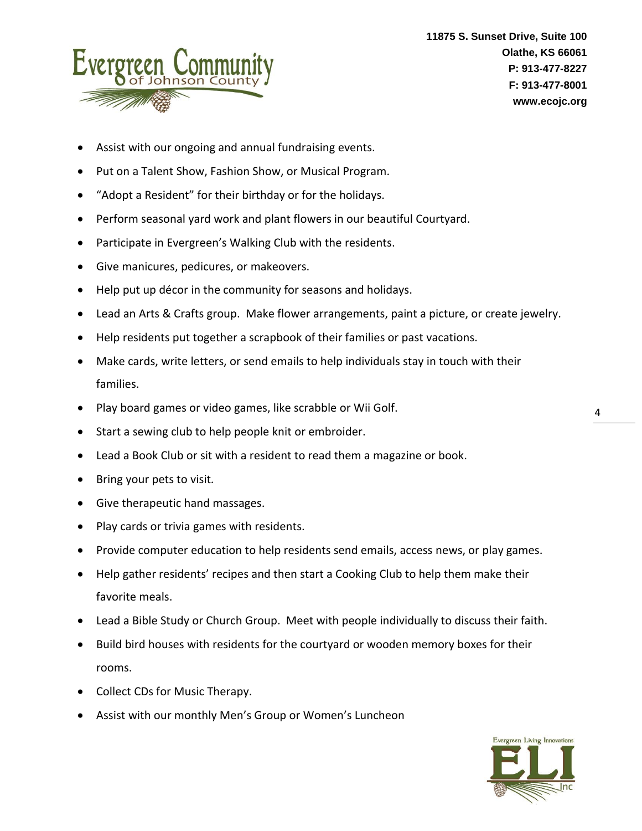

- Assist with our ongoing and annual fundraising events.
- Put on a Talent Show, Fashion Show, or Musical Program.
- "Adopt a Resident" for their birthday or for the holidays.
- Perform seasonal yard work and plant flowers in our beautiful Courtyard.
- Participate in Evergreen's Walking Club with the residents.
- Give manicures, pedicures, or makeovers.
- Help put up décor in the community for seasons and holidays.
- Lead an Arts & Crafts group. Make flower arrangements, paint a picture, or create jewelry.
- Help residents put together a scrapbook of their families or past vacations.
- Make cards, write letters, or send emails to help individuals stay in touch with their families.
- Play board games or video games, like scrabble or Wii Golf.
- Start a sewing club to help people knit or embroider.
- Lead a Book Club or sit with a resident to read them a magazine or book.
- Bring your pets to visit*.*
- Give therapeutic hand massages.
- Play cards or trivia games with residents.
- Provide computer education to help residents send emails, access news, or play games.
- Help gather residents' recipes and then start a Cooking Club to help them make their favorite meals.
- Lead a Bible Study or Church Group. Meet with people individually to discuss their faith.
- Build bird houses with residents for the courtyard or wooden memory boxes for their rooms.
- Collect CDs for Music Therapy.
- Assist with our monthly Men's Group or Women's Luncheon

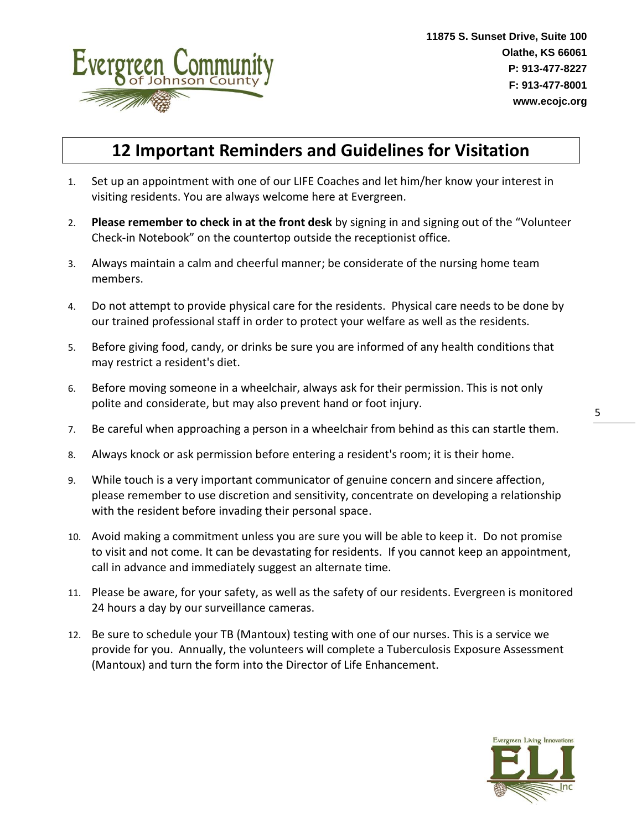

## **12 Important Reminders and Guidelines for Visitation**

- 1. Set up an appointment with one of our LIFE Coaches and let him/her know your interest in visiting residents. You are always welcome here at Evergreen.
- 2. **Please remember to check in at the front desk** by signing in and signing out of the "Volunteer Check-in Notebook" on the countertop outside the receptionist office.
- 3. Always maintain a calm and cheerful manner; be considerate of the nursing home team members.
- 4. Do not attempt to provide physical care for the residents. Physical care needs to be done by our trained professional staff in order to protect your welfare as well as the residents.
- 5. Before giving food, candy, or drinks be sure you are informed of any health conditions that may restrict a resident's diet.
- 6. Before moving someone in a wheelchair, always ask for their permission. This is not only polite and considerate, but may also prevent hand or foot injury.
- 7. Be careful when approaching a person in a wheelchair from behind as this can startle them.
- 8. Always knock or ask permission before entering a resident's room; it is their home.
- 9. While touch is a very important communicator of genuine concern and sincere affection, please remember to use discretion and sensitivity, concentrate on developing a relationship with the resident before invading their personal space.
- 10. Avoid making a commitment unless you are sure you will be able to keep it. Do not promise to visit and not come. It can be devastating for residents. If you cannot keep an appointment, call in advance and immediately suggest an alternate time.
- 11. Please be aware, for your safety, as well as the safety of our residents. Evergreen is monitored 24 hours a day by our surveillance cameras.
- 12. Be sure to schedule your TB (Mantoux) testing with one of our nurses. This is a service we provide for you. Annually, the volunteers will complete a Tuberculosis Exposure Assessment (Mantoux) and turn the form into the Director of Life Enhancement.

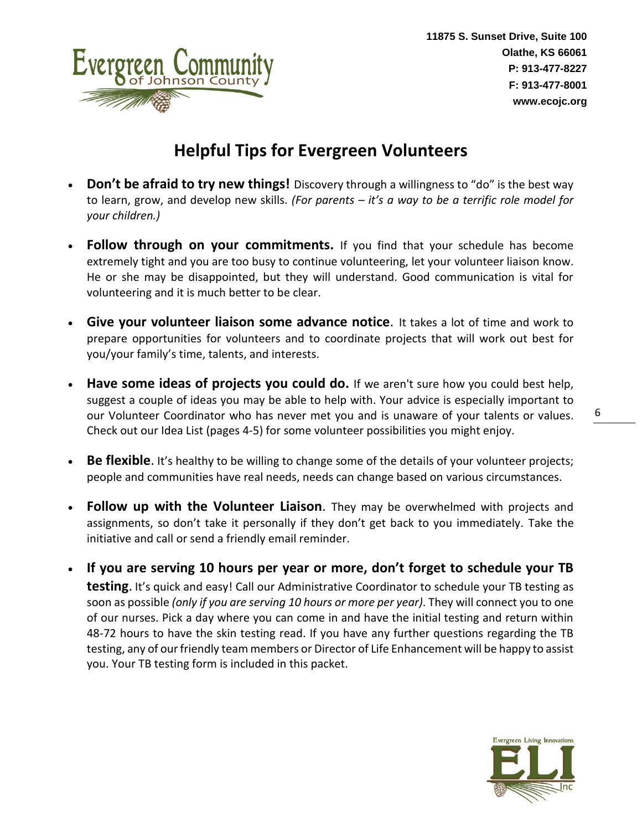

# **Helpful Tips for Evergreen Volunteers**

- **Don't be afraid to try new things!** Discovery through a willingness to "do" is the best way to learn, grow, and develop new skills. *(For parents – it's a way to be a terrific role model for your children.)*
- **Follow through on your commitments.** If you find that your schedule has become extremely tight and you are too busy to continue volunteering, let your volunteer liaison know. He or she may be disappointed, but they will understand. Good communication is vital for volunteering and it is much better to be clear.
- **Give your volunteer liaison some advance notice**. It takes a lot of time and work to prepare opportunities for volunteers and to coordinate projects that will work out best for you/your family's time, talents, and interests.
- **Have some ideas of projects you could do.** If we aren't sure how you could best help, suggest a couple of ideas you may be able to help with. Your advice is especially important to our Volunteer Coordinator who has never met you and is unaware of your talents or values. Check out our Idea List (pages 4-5) for some volunteer possibilities you might enjoy.
- **Be flexible**. It's healthy to be willing to change some of the details of your volunteer projects; people and communities have real needs, needs can change based on various circumstances.
- **Follow up with the Volunteer Liaison**. They may be overwhelmed with projects and assignments, so don't take it personally if they don't get back to you immediately. Take the initiative and call or send a friendly email reminder.
- **If you are serving 10 hours per year or more, don't forget to schedule your TB testing**. It's quick and easy! Call our Administrative Coordinator to schedule your TB testing as soon as possible *(only if you are serving 10 hours or more per year)*. They will connect you to one of our nurses. Pick a day where you can come in and have the initial testing and return within 48-72 hours to have the skin testing read. If you have any further questions regarding the TB testing, any of our friendly team members or Director of Life Enhancement will be happy to assist you. Your TB testing form is included in this packet.

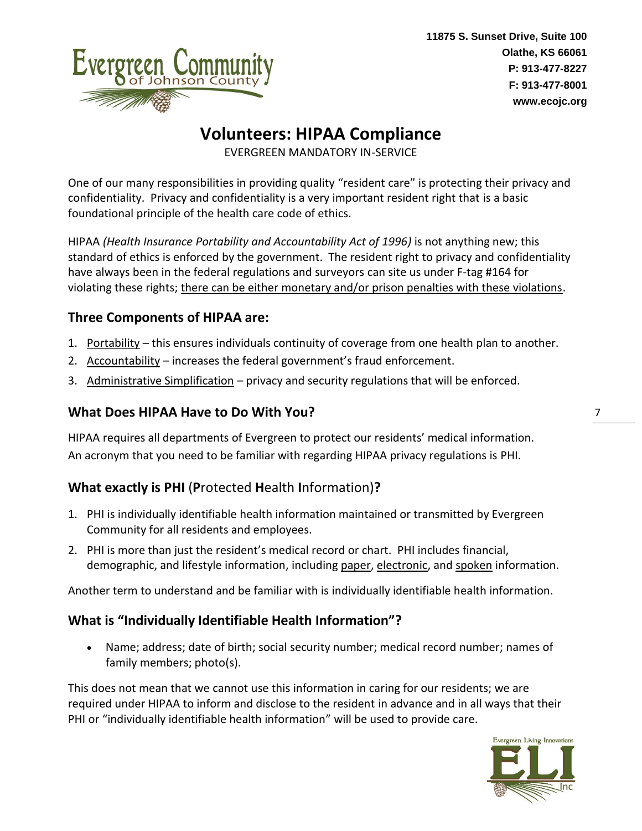

# **Volunteers: HIPAA Compliance**

EVERGREEN MANDATORY IN-SERVICE

One of our many responsibilities in providing quality "resident care" is protecting their privacy and confidentiality. Privacy and confidentiality is a very important resident right that is a basic foundational principle of the health care code of ethics.

HIPAA *(Health Insurance Portability and Accountability Act of 1996)* is not anything new; this standard of ethics is enforced by the government. The resident right to privacy and confidentiality have always been in the federal regulations and surveyors can site us under F-tag #164 for violating these rights; there can be either monetary and/or prison penalties with these violations.

#### **Three Components of HIPAA are:**

- 1. Portability this ensures individuals continuity of coverage from one health plan to another.
- 2. Accountability increases the federal government's fraud enforcement.
- 3. Administrative Simplification privacy and security regulations that will be enforced.

### **What Does HIPAA Have to Do With You?**

HIPAA requires all departments of Evergreen to protect our residents' medical information. An acronym that you need to be familiar with regarding HIPAA privacy regulations is PHI.

### **What exactly is PHI** (**P**rotected **H**ealth **I**nformation)**?**

- 1. PHI is individually identifiable health information maintained or transmitted by Evergreen Community for all residents and employees.
- 2. PHI is more than just the resident's medical record or chart. PHI includes financial, demographic, and lifestyle information, including paper, electronic, and spoken information.

Another term to understand and be familiar with is individually identifiable health information.

### **What is "Individually Identifiable Health Information"?**

• Name; address; date of birth; social security number; medical record number; names of family members; photo(s).

This does not mean that we cannot use this information in caring for our residents; we are required under HIPAA to inform and disclose to the resident in advance and in all ways that their PHI or "individually identifiable health information" will be used to provide care.

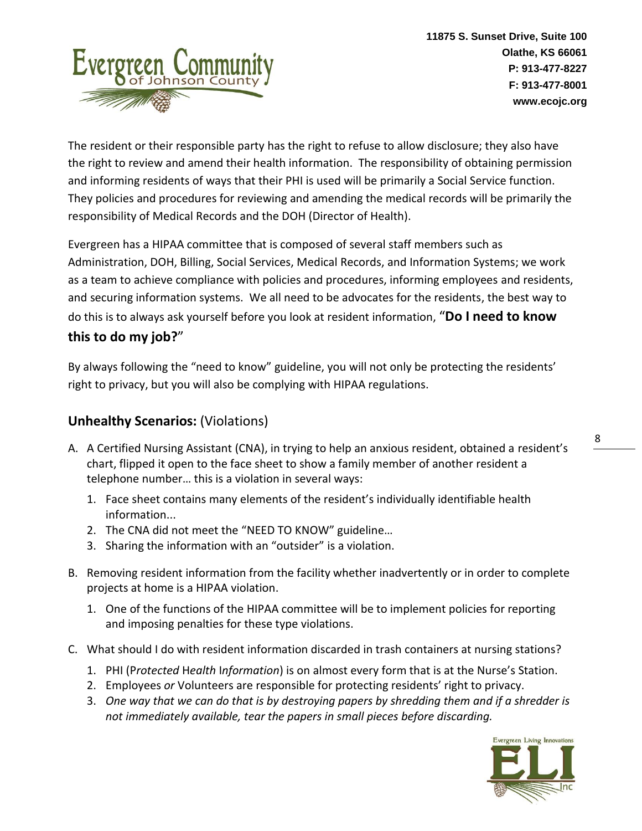

The resident or their responsible party has the right to refuse to allow disclosure; they also have the right to review and amend their health information. The responsibility of obtaining permission and informing residents of ways that their PHI is used will be primarily a Social Service function. They policies and procedures for reviewing and amending the medical records will be primarily the responsibility of Medical Records and the DOH (Director of Health).

Evergreen has a HIPAA committee that is composed of several staff members such as Administration, DOH, Billing, Social Services, Medical Records, and Information Systems; we work as a team to achieve compliance with policies and procedures, informing employees and residents, and securing information systems. We all need to be advocates for the residents, the best way to do this is to always ask yourself before you look at resident information, "**Do I need to know this to do my job?**"

By always following the "need to know" guideline, you will not only be protecting the residents' right to privacy, but you will also be complying with HIPAA regulations.

### **Unhealthy Scenarios:** (Violations)

- A. A Certified Nursing Assistant (CNA), in trying to help an anxious resident, obtained a resident's chart, flipped it open to the face sheet to show a family member of another resident a telephone number… this is a violation in several ways:
	- 1. Face sheet contains many elements of the resident's individually identifiable health information...
	- 2. The CNA did not meet the "NEED TO KNOW" guideline…
	- 3. Sharing the information with an "outsider" is a violation.
- B. Removing resident information from the facility whether inadvertently or in order to complete projects at home is a HIPAA violation.
	- 1. One of the functions of the HIPAA committee will be to implement policies for reporting and imposing penalties for these type violations.
- C. What should I do with resident information discarded in trash containers at nursing stations?
	- 1. PHI (P*rotected* H*ealth* I*nformation*) is on almost every form that is at the Nurse's Station.
	- 2. Employees *or* Volunteers are responsible for protecting residents' right to privacy.
	- 3. *One way that we can do that is by destroying papers by shredding them and if a shredder is not immediately available, tear the papers in small pieces before discarding.*

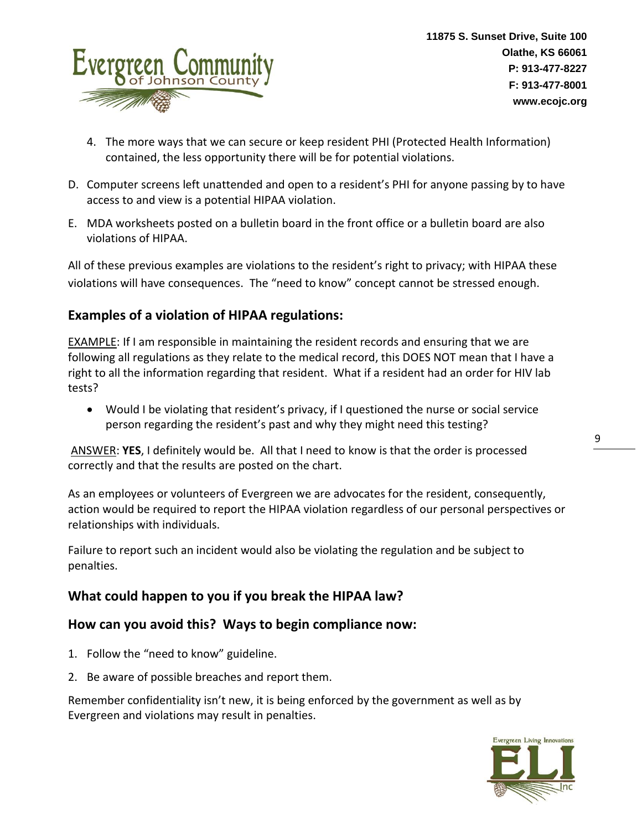

- 4. The more ways that we can secure or keep resident PHI (Protected Health Information) contained, the less opportunity there will be for potential violations.
- D. Computer screens left unattended and open to a resident's PHI for anyone passing by to have access to and view is a potential HIPAA violation.
- E. MDA worksheets posted on a bulletin board in the front office or a bulletin board are also violations of HIPAA.

All of these previous examples are violations to the resident's right to privacy; with HIPAA these violations will have consequences. The "need to know" concept cannot be stressed enough.

### **Examples of a violation of HIPAA regulations:**

EXAMPLE: If I am responsible in maintaining the resident records and ensuring that we are following all regulations as they relate to the medical record, this DOES NOT mean that I have a right to all the information regarding that resident. What if a resident had an order for HIV lab tests?

• Would I be violating that resident's privacy, if I questioned the nurse or social service person regarding the resident's past and why they might need this testing?

ANSWER: **YES**, I definitely would be. All that I need to know is that the order is processed correctly and that the results are posted on the chart.

As an employees or volunteers of Evergreen we are advocates for the resident, consequently, action would be required to report the HIPAA violation regardless of our personal perspectives or relationships with individuals.

Failure to report such an incident would also be violating the regulation and be subject to penalties.

### **What could happen to you if you break the HIPAA law?**

#### **How can you avoid this? Ways to begin compliance now:**

- 1. Follow the "need to know" guideline.
- 2. Be aware of possible breaches and report them.

Remember confidentiality isn't new, it is being enforced by the government as well as by Evergreen and violations may result in penalties.

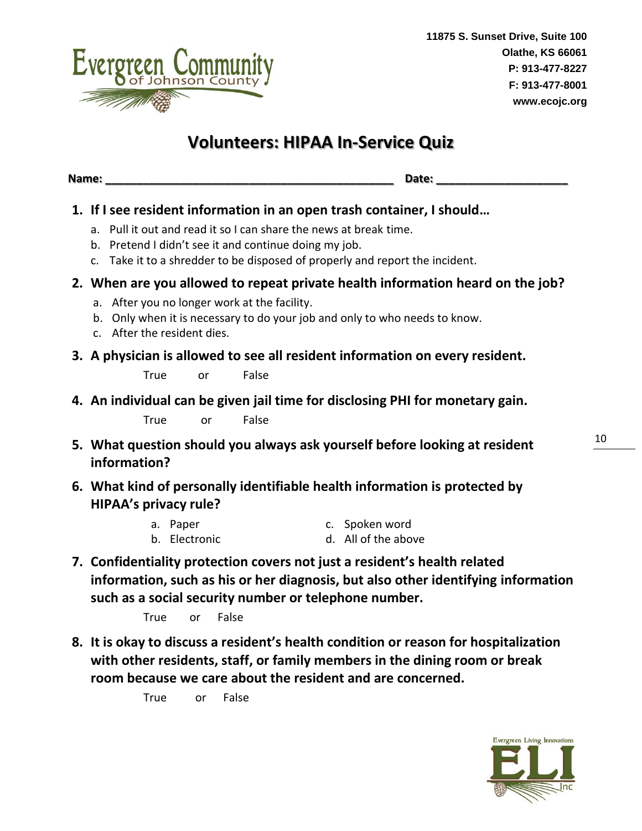

### **Volunteers: HIPAA In-Service Quiz**

**Name: \_\_\_\_\_\_\_\_\_\_\_\_\_\_\_\_\_\_\_\_\_\_\_\_\_\_\_\_\_\_\_\_\_\_\_\_\_\_\_\_\_\_\_\_\_\_ Date: \_\_\_\_\_\_\_\_\_\_\_\_\_\_\_\_\_\_\_\_\_**

### **1. If I see resident information in an open trash container, I should…**

- a. Pull it out and read it so I can share the news at break time.
- b. Pretend I didn't see it and continue doing my job.
- c. Take it to a shredder to be disposed of properly and report the incident.

#### **2. When are you allowed to repeat private health information heard on the job?**

- a. After you no longer work at the facility.
- b. Only when it is necessary to do your job and only to who needs to know.
- c. After the resident dies.
- **3. A physician is allowed to see all resident information on every resident.**

True or False

**4. An individual can be given jail time for disclosing PHI for monetary gain.**

True or False

- **5. What question should you always ask yourself before looking at resident information?**
- **6. What kind of personally identifiable health information is protected by HIPAA's privacy rule?**
	- a. Paper b. Electronic c. Spoken word d. All of the above
- **7. Confidentiality protection covers not just a resident's health related information, such as his or her diagnosis, but also other identifying information such as a social security number or telephone number.**

True or False

**8. It is okay to discuss a resident's health condition or reason for hospitalization with other residents, staff, or family members in the dining room or break room because we care about the resident and are concerned.**

True or False

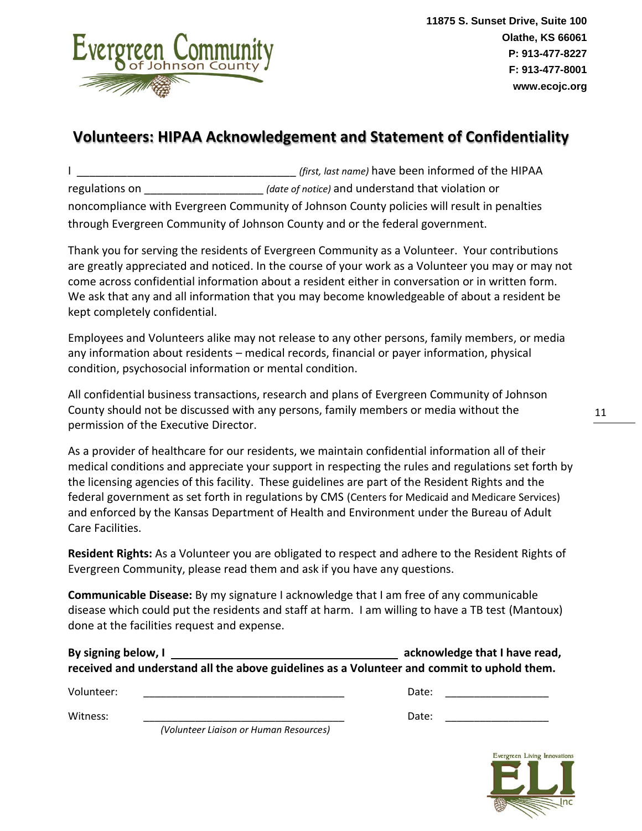

### **Volunteers: HIPAA Acknowledgement and Statement of Confidentiality**

|                | (first, last name) have been informed of the HIPAA                                         |
|----------------|--------------------------------------------------------------------------------------------|
| regulations on | (date of notice) and understand that violation or                                          |
|                | noncompliance with Evergreen Community of Johnson County policies will result in penalties |
|                | through Evergreen Community of Johnson County and or the federal government.               |

Thank you for serving the residents of Evergreen Community as a Volunteer. Your contributions are greatly appreciated and noticed. In the course of your work as a Volunteer you may or may not come across confidential information about a resident either in conversation or in written form. We ask that any and all information that you may become knowledgeable of about a resident be kept completely confidential.

Employees and Volunteers alike may not release to any other persons, family members, or media any information about residents – medical records, financial or payer information, physical condition, psychosocial information or mental condition.

All confidential business transactions, research and plans of Evergreen Community of Johnson County should not be discussed with any persons, family members or media without the permission of the Executive Director.

As a provider of healthcare for our residents, we maintain confidential information all of their medical conditions and appreciate your support in respecting the rules and regulations set forth by the licensing agencies of this facility. These guidelines are part of the Resident Rights and the federal government as set forth in regulations by CMS (Centers for Medicaid and Medicare Services) and enforced by the Kansas Department of Health and Environment under the Bureau of Adult Care Facilities.

**Resident Rights:** As a Volunteer you are obligated to respect and adhere to the Resident Rights of Evergreen Community, please read them and ask if you have any questions.

**Communicable Disease:** By my signature I acknowledge that I am free of any communicable disease which could put the residents and staff at harm. I am willing to have a TB test (Mantoux) done at the facilities request and expense.

| By signing below, I                                                                        | acknowledge that I have read, |
|--------------------------------------------------------------------------------------------|-------------------------------|
| received and understand all the above guidelines as a Volunteer and commit to uphold them. |                               |
| Volunteer:                                                                                 | Date:                         |

Witness: \_\_\_\_\_\_\_\_\_\_\_\_\_\_\_\_\_\_\_\_\_\_\_\_\_\_\_\_\_\_\_\_\_\_\_ Date: \_\_\_\_\_\_\_\_\_\_\_\_\_\_\_\_\_\_

*(Volunteer Liaison or Human Resources)*

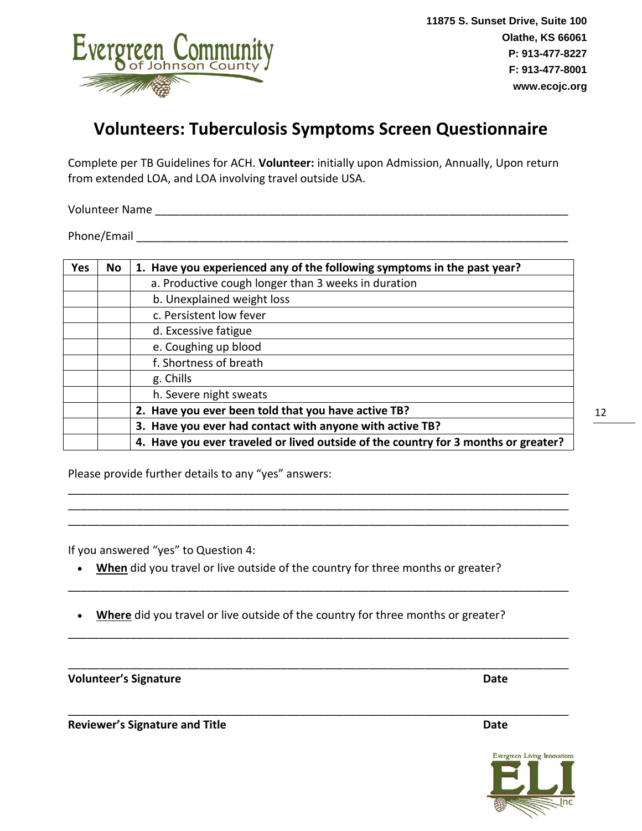

### **Volunteers: Tuberculosis Symptoms Screen Questionnaire**

Complete per TB Guidelines for ACH. **Volunteer:** initially upon Admission, Annually, Upon return from extended LOA, and LOA involving travel outside USA.

Volunteer Name \_\_\_\_\_\_\_\_\_\_\_\_\_\_\_\_\_\_\_\_\_\_\_\_\_\_\_\_\_\_\_\_\_\_\_\_\_\_\_\_\_\_\_\_\_\_\_\_\_\_\_\_\_\_\_\_\_\_\_\_\_\_\_\_\_\_

Phone/Email and the state of the state of the state of the state of the state of the state of the state of the state of the state of the state of the state of the state of the state of the state of the state of the state o

| <b>Yes</b> | No | 1. Have you experienced any of the following symptoms in the past year?            |
|------------|----|------------------------------------------------------------------------------------|
|            |    | a. Productive cough longer than 3 weeks in duration                                |
|            |    | b. Unexplained weight loss                                                         |
|            |    | c. Persistent low fever                                                            |
|            |    | d. Excessive fatigue                                                               |
|            |    | e. Coughing up blood                                                               |
|            |    | f. Shortness of breath                                                             |
|            |    | g. Chills                                                                          |
|            |    | h. Severe night sweats                                                             |
|            |    | 2. Have you ever been told that you have active TB?                                |
|            |    | 3. Have you ever had contact with anyone with active TB?                           |
|            |    | 4. Have you ever traveled or lived outside of the country for 3 months or greater? |

\_\_\_\_\_\_\_\_\_\_\_\_\_\_\_\_\_\_\_\_\_\_\_\_\_\_\_\_\_\_\_\_\_\_\_\_\_\_\_\_\_\_\_\_\_\_\_\_\_\_\_\_\_\_\_\_\_\_\_\_\_\_\_\_\_\_\_\_\_\_\_\_\_\_\_\_\_\_\_\_ \_\_\_\_\_\_\_\_\_\_\_\_\_\_\_\_\_\_\_\_\_\_\_\_\_\_\_\_\_\_\_\_\_\_\_\_\_\_\_\_\_\_\_\_\_\_\_\_\_\_\_\_\_\_\_\_\_\_\_\_\_\_\_\_\_\_\_\_\_\_\_\_\_\_\_\_\_\_\_\_ \_\_\_\_\_\_\_\_\_\_\_\_\_\_\_\_\_\_\_\_\_\_\_\_\_\_\_\_\_\_\_\_\_\_\_\_\_\_\_\_\_\_\_\_\_\_\_\_\_\_\_\_\_\_\_\_\_\_\_\_\_\_\_\_\_\_\_\_\_\_\_\_\_\_\_\_\_\_\_\_

\_\_\_\_\_\_\_\_\_\_\_\_\_\_\_\_\_\_\_\_\_\_\_\_\_\_\_\_\_\_\_\_\_\_\_\_\_\_\_\_\_\_\_\_\_\_\_\_\_\_\_\_\_\_\_\_\_\_\_\_\_\_\_\_\_\_\_\_\_\_\_\_\_\_\_\_\_\_\_\_

\_\_\_\_\_\_\_\_\_\_\_\_\_\_\_\_\_\_\_\_\_\_\_\_\_\_\_\_\_\_\_\_\_\_\_\_\_\_\_\_\_\_\_\_\_\_\_\_\_\_\_\_\_\_\_\_\_\_\_\_\_\_\_\_\_\_\_\_\_\_\_\_\_\_\_\_\_\_\_\_

\_\_\_\_\_\_\_\_\_\_\_\_\_\_\_\_\_\_\_\_\_\_\_\_\_\_\_\_\_\_\_\_\_\_\_\_\_\_\_\_\_\_\_\_\_\_\_\_\_\_\_\_\_\_\_\_\_\_\_\_\_\_\_\_\_\_\_\_\_\_\_\_\_\_\_\_\_\_\_\_

\_\_\_\_\_\_\_\_\_\_\_\_\_\_\_\_\_\_\_\_\_\_\_\_\_\_\_\_\_\_\_\_\_\_\_\_\_\_\_\_\_\_\_\_\_\_\_\_\_\_\_\_\_\_\_\_\_\_\_\_\_\_\_\_\_\_\_\_\_\_\_\_\_\_\_\_\_\_\_\_

Please provide further details to any "yes" answers:

If you answered "yes" to Question 4:

- **When** did you travel or live outside of the country for three months or greater?
- **Where** did you travel or live outside of the country for three months or greater?

**Volunteer's Signature Date**

**Reviewer's Signature and Title Date**

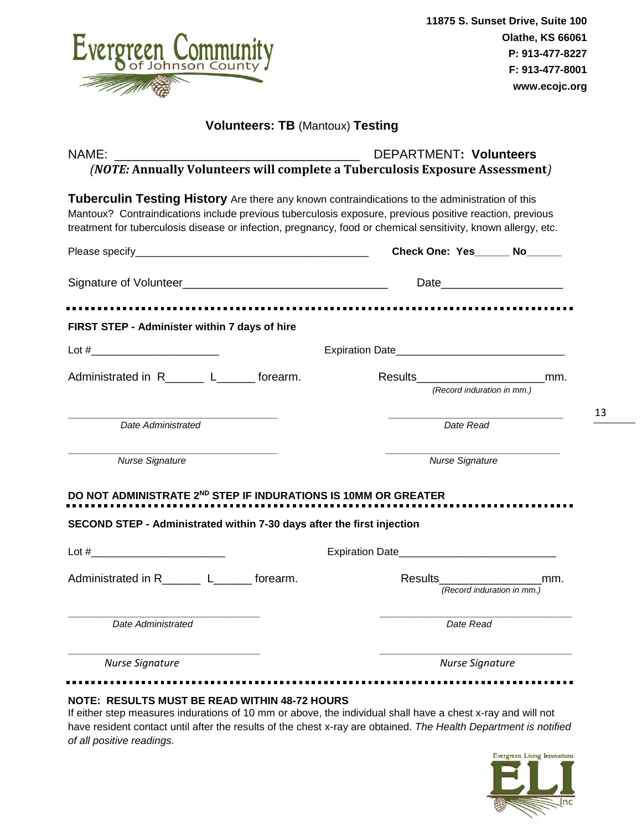|                                                                                                                                                                                                                                                                                                                            | 11875 S. Sunset Drive, Suite 100<br><b>Olathe, KS 66061</b>                                                   |
|----------------------------------------------------------------------------------------------------------------------------------------------------------------------------------------------------------------------------------------------------------------------------------------------------------------------------|---------------------------------------------------------------------------------------------------------------|
| Evergreen Community                                                                                                                                                                                                                                                                                                        | P: 913-477-8227                                                                                               |
|                                                                                                                                                                                                                                                                                                                            | F: 913-477-8001                                                                                               |
|                                                                                                                                                                                                                                                                                                                            | www.ecojc.org                                                                                                 |
| <b>Volunteers: TB (Mantoux) Testing</b>                                                                                                                                                                                                                                                                                    |                                                                                                               |
| NAME:<br>$\mathbf{u}$ , we have a set of the set of the set of the set of the set of the set of the set of the set of the set of the set of the set of the set of the set of the set of the set of the set of the set of the set of the se<br>(NOTE: Annually Volunteers will complete a Tuberculosis Exposure Assessment) | <b>DEPARTMENT: Volunteers</b>                                                                                 |
| Tuberculin Testing History Are there any known contraindications to the administration of this<br>Mantoux? Contraindications include previous tuberculosis exposure, previous positive reaction, previous<br>treatment for tuberculosis disease or infection, pregnancy, food or chemical sensitivity, known allergy, etc. |                                                                                                               |
|                                                                                                                                                                                                                                                                                                                            | Check One: Yes No                                                                                             |
|                                                                                                                                                                                                                                                                                                                            | Date and the state of the state of the state of the state of the state of the state of the state of the state |
|                                                                                                                                                                                                                                                                                                                            |                                                                                                               |
| FIRST STEP - Administer within 7 days of hire                                                                                                                                                                                                                                                                              |                                                                                                               |
|                                                                                                                                                                                                                                                                                                                            |                                                                                                               |
| Administrated in R________L_________ forearm.                                                                                                                                                                                                                                                                              | Results_________________________<br>mm.<br>(Record induration in mm.)                                         |
| Date Administrated                                                                                                                                                                                                                                                                                                         | Date Read                                                                                                     |
| <b>Nurse Signature</b>                                                                                                                                                                                                                                                                                                     | <b>Nurse Signature</b>                                                                                        |
|                                                                                                                                                                                                                                                                                                                            |                                                                                                               |
|                                                                                                                                                                                                                                                                                                                            |                                                                                                               |
|                                                                                                                                                                                                                                                                                                                            | mm.                                                                                                           |
| DO NOT ADMINISTRATE 2ND STEP IF INDURATIONS IS 10MM OR GREATER<br>SECOND STEP - Administrated within 7-30 days after the first injection<br>Date Administrated                                                                                                                                                             | Date Read                                                                                                     |

have resident contact until after the results of the chest x-ray are obtained. *The Health Department is notified of all positive readings.*

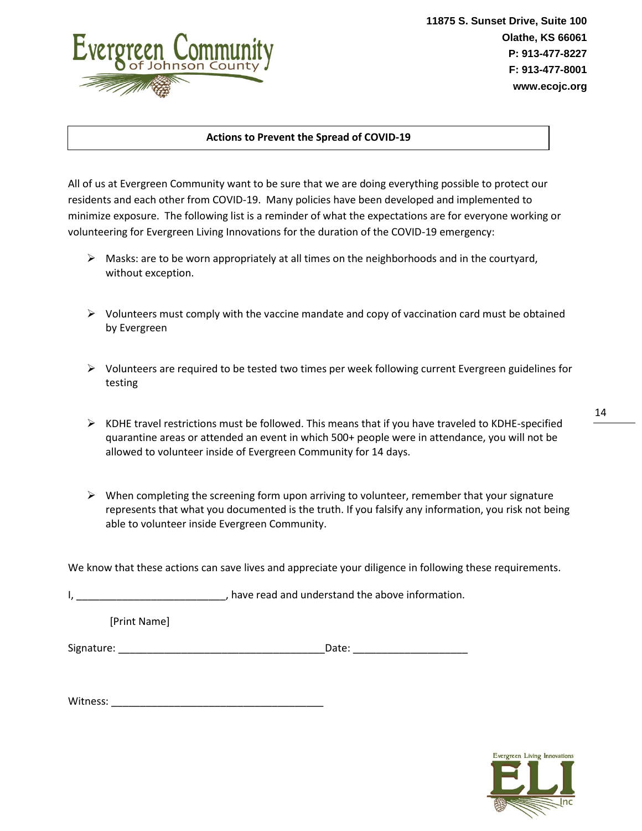

#### **Actions to Prevent the Spread of COVID-19**

All of us at Evergreen Community want to be sure that we are doing everything possible to protect our residents and each other from COVID-19. Many policies have been developed and implemented to minimize exposure. The following list is a reminder of what the expectations are for everyone working or volunteering for Evergreen Living Innovations for the duration of the COVID-19 emergency:

- $\triangleright$  Masks: are to be worn appropriately at all times on the neighborhoods and in the courtyard, without exception.
- $\triangleright$  Volunteers must comply with the vaccine mandate and copy of vaccination card must be obtained by Evergreen
- $\triangleright$  Volunteers are required to be tested two times per week following current Evergreen guidelines for testing
- $\triangleright$  KDHE travel restrictions must be followed. This means that if you have traveled to KDHE-specified quarantine areas or attended an event in which 500+ people were in attendance, you will not be allowed to volunteer inside of Evergreen Community for 14 days.
- $\triangleright$  When completing the screening form upon arriving to volunteer, remember that your signature represents that what you documented is the truth. If you falsify any information, you risk not being able to volunteer inside Evergreen Community.

We know that these actions can save lives and appreciate your diligence in following these requirements.

I, \_\_\_\_\_\_\_\_\_\_\_\_\_\_\_\_\_\_\_\_\_\_\_\_\_\_\_\_\_\_, have read and understand the above information.

[Print Name]

Signature: etc. and the state of the state of the Date:  $\Box$  Date:  $\Box$ 

Witness: \_\_\_\_\_\_\_\_\_\_\_\_\_\_\_\_\_\_\_\_\_\_\_\_\_\_\_\_\_\_\_\_\_\_\_\_\_

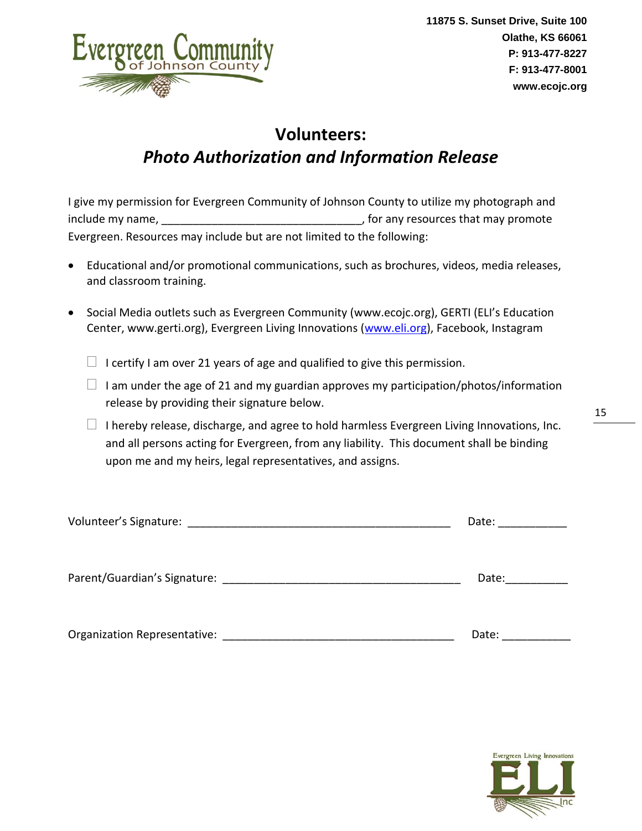

# **Volunteers:** *Photo Authorization and Information Release*

I give my permission for Evergreen Community of Johnson County to utilize my photograph and include my name, \_\_\_\_\_\_\_\_\_\_\_\_\_\_\_\_\_\_\_\_\_\_\_\_\_\_\_\_\_\_\_\_, for any resources that may promote Evergreen. Resources may include but are not limited to the following:

- Educational and/or promotional communications, such as brochures, videos, media releases, and classroom training.
- Social Media outlets such as Evergreen Community (www.ecojc.org), GERTI (ELI's Education Center, www.gerti.org), Evergreen Living Innovations [\(www.eli.org\)](http://www.eli.org/), Facebook, Instagram
	- $\Box$  I certify I am over 21 years of age and qualified to give this permission.
	- $\Box$  I am under the age of 21 and my guardian approves my participation/photos/information release by providing their signature below.
	- $\Box$  I hereby release, discharge, and agree to hold harmless Evergreen Living Innovations, Inc. and all persons acting for Evergreen, from any liability. This document shall be binding upon me and my heirs, legal representatives, and assigns.

| Volunteer's Signature:       | Date: |
|------------------------------|-------|
| Parent/Guardian's Signature: | Date: |
|                              |       |

Organization Representative: \_\_\_\_\_\_\_\_\_\_\_\_\_\_\_\_\_\_\_\_\_\_\_\_\_\_\_\_\_\_\_\_\_\_\_\_\_ Date: \_\_\_\_\_\_\_\_\_\_\_

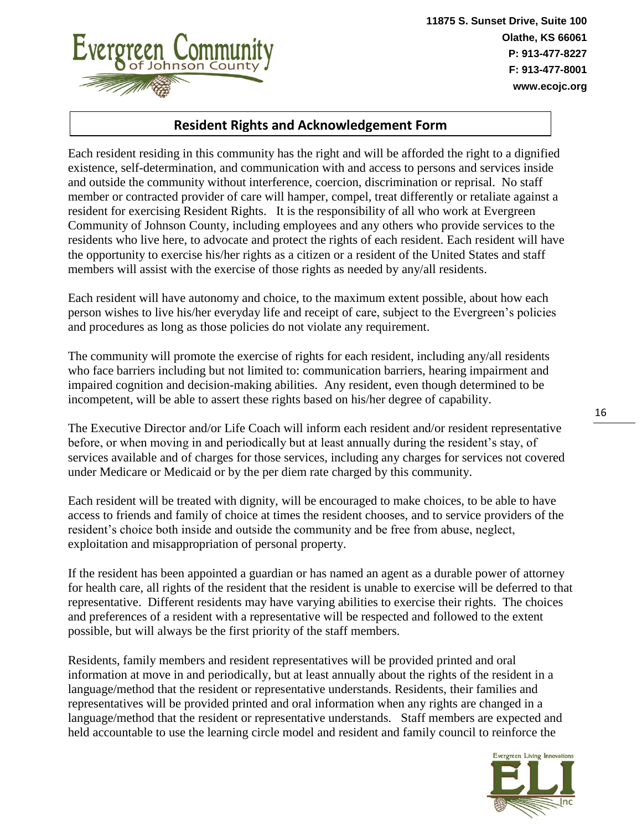

#### **Resident Rights and Acknowledgement Form**

Each resident residing in this community has the right and will be afforded the right to a dignified existence, self-determination, and communication with and access to persons and services inside and outside the community without interference, coercion, discrimination or reprisal. No staff member or contracted provider of care will hamper, compel, treat differently or retaliate against a resident for exercising Resident Rights. It is the responsibility of all who work at Evergreen Community of Johnson County, including employees and any others who provide services to the residents who live here, to advocate and protect the rights of each resident. Each resident will have the opportunity to exercise his/her rights as a citizen or a resident of the United States and staff members will assist with the exercise of those rights as needed by any/all residents.

Each resident will have autonomy and choice, to the maximum extent possible, about how each person wishes to live his/her everyday life and receipt of care, subject to the Evergreen's policies and procedures as long as those policies do not violate any requirement.

The community will promote the exercise of rights for each resident, including any/all residents who face barriers including but not limited to: communication barriers, hearing impairment and impaired cognition and decision-making abilities. Any resident, even though determined to be incompetent, will be able to assert these rights based on his/her degree of capability.

The Executive Director and/or Life Coach will inform each resident and/or resident representative before, or when moving in and periodically but at least annually during the resident's stay, of services available and of charges for those services, including any charges for services not covered under Medicare or Medicaid or by the per diem rate charged by this community.

Each resident will be treated with dignity, will be encouraged to make choices, to be able to have access to friends and family of choice at times the resident chooses, and to service providers of the resident's choice both inside and outside the community and be free from abuse, neglect, exploitation and misappropriation of personal property.

If the resident has been appointed a guardian or has named an agent as a durable power of attorney for health care, all rights of the resident that the resident is unable to exercise will be deferred to that representative. Different residents may have varying abilities to exercise their rights. The choices and preferences of a resident with a representative will be respected and followed to the extent possible, but will always be the first priority of the staff members.

Residents, family members and resident representatives will be provided printed and oral information at move in and periodically, but at least annually about the rights of the resident in a language/method that the resident or representative understands. Residents, their families and representatives will be provided printed and oral information when any rights are changed in a language/method that the resident or representative understands. Staff members are expected and held accountable to use the learning circle model and resident and family council to reinforce the

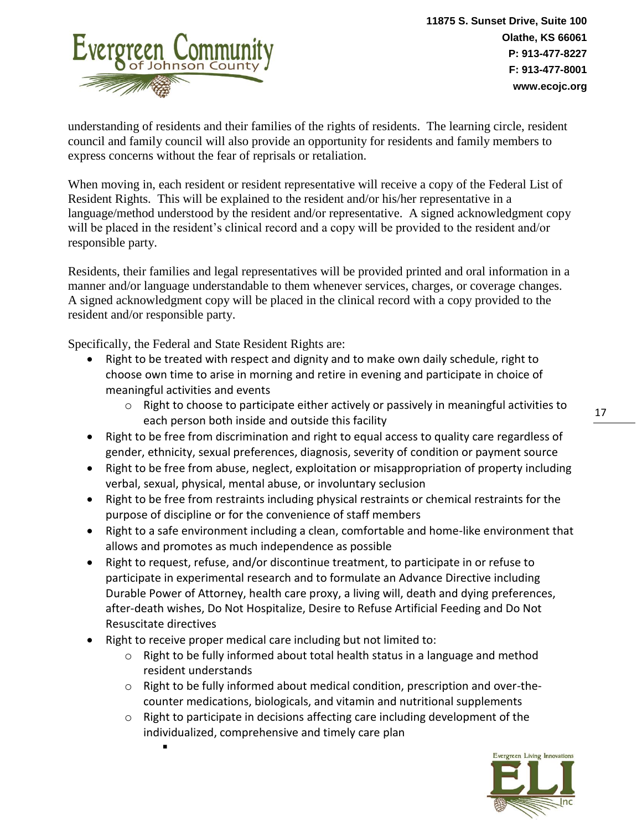

understanding of residents and their families of the rights of residents. The learning circle, resident council and family council will also provide an opportunity for residents and family members to express concerns without the fear of reprisals or retaliation.

When moving in, each resident or resident representative will receive a copy of the Federal List of Resident Rights. This will be explained to the resident and/or his/her representative in a language/method understood by the resident and/or representative. A signed acknowledgment copy will be placed in the resident's clinical record and a copy will be provided to the resident and/or responsible party.

Residents, their families and legal representatives will be provided printed and oral information in a manner and/or language understandable to them whenever services, charges, or coverage changes. A signed acknowledgment copy will be placed in the clinical record with a copy provided to the resident and/or responsible party.

Specifically, the Federal and State Resident Rights are:

- Right to be treated with respect and dignity and to make own daily schedule, right to choose own time to arise in morning and retire in evening and participate in choice of meaningful activities and events
	- o Right to choose to participate either actively or passively in meaningful activities to each person both inside and outside this facility
- Right to be free from discrimination and right to equal access to quality care regardless of gender, ethnicity, sexual preferences, diagnosis, severity of condition or payment source
- Right to be free from abuse, neglect, exploitation or misappropriation of property including verbal, sexual, physical, mental abuse, or involuntary seclusion
- Right to be free from restraints including physical restraints or chemical restraints for the purpose of discipline or for the convenience of staff members
- Right to a safe environment including a clean, comfortable and home-like environment that allows and promotes as much independence as possible
- Right to request, refuse, and/or discontinue treatment, to participate in or refuse to participate in experimental research and to formulate an Advance Directive including Durable Power of Attorney, health care proxy, a living will, death and dying preferences, after-death wishes, Do Not Hospitalize, Desire to Refuse Artificial Feeding and Do Not Resuscitate directives
- Right to receive proper medical care including but not limited to:

▪

- $\circ$  Right to be fully informed about total health status in a language and method resident understands
- o Right to be fully informed about medical condition, prescription and over-thecounter medications, biologicals, and vitamin and nutritional supplements
- $\circ$  Right to participate in decisions affecting care including development of the individualized, comprehensive and timely care plan

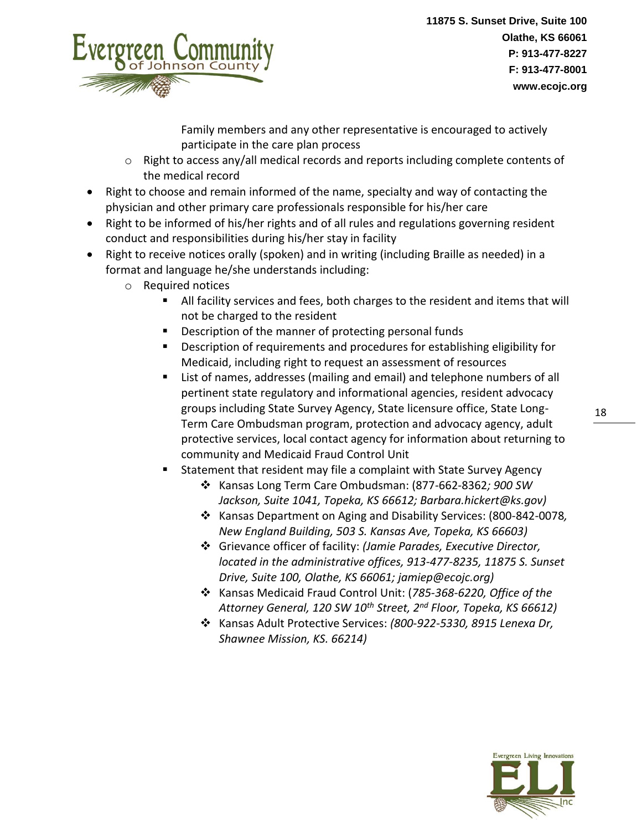

Family members and any other representative is encouraged to actively participate in the care plan process

- o Right to access any/all medical records and reports including complete contents of the medical record
- Right to choose and remain informed of the name, specialty and way of contacting the physician and other primary care professionals responsible for his/her care
- Right to be informed of his/her rights and of all rules and regulations governing resident conduct and responsibilities during his/her stay in facility
- Right to receive notices orally (spoken) and in writing (including Braille as needed) in a format and language he/she understands including:
	- o Required notices
		- All facility services and fees, both charges to the resident and items that will not be charged to the resident
		- Description of the manner of protecting personal funds
		- **■** Description of requirements and procedures for establishing eligibility for Medicaid, including right to request an assessment of resources
		- List of names, addresses (mailing and email) and telephone numbers of all pertinent state regulatory and informational agencies, resident advocacy groups including State Survey Agency, State licensure office, State Long-Term Care Ombudsman program, protection and advocacy agency, adult protective services, local contact agency for information about returning to community and Medicaid Fraud Control Unit
		- Statement that resident may file a complaint with State Survey Agency
			- ❖ Kansas Long Term Care Ombudsman: (877-662-8362*; 900 SW Jackson, Suite 1041, Topeka, KS 66612; Barbara.hickert@ks.gov)*
			- ❖ Kansas Department on Aging and Disability Services: (800-842-0078*, New England Building, 503 S. Kansas Ave, Topeka, KS 66603)*
			- ❖ Grievance officer of facility: *(Jamie Parades, Executive Director, located in the administrative offices, 913-477-8235, 11875 S. Sunset Drive, Suite 100, Olathe, KS 66061; jamiep@ecojc.org)*
			- ❖ Kansas Medicaid Fraud Control Unit: (*785-368-6220, Office of the Attorney General, 120 SW 10th Street, 2nd Floor, Topeka, KS 66612)*
			- ❖ Kansas Adult Protective Services: *(800-922-5330, 8915 Lenexa Dr, Shawnee Mission, KS. 66214)*

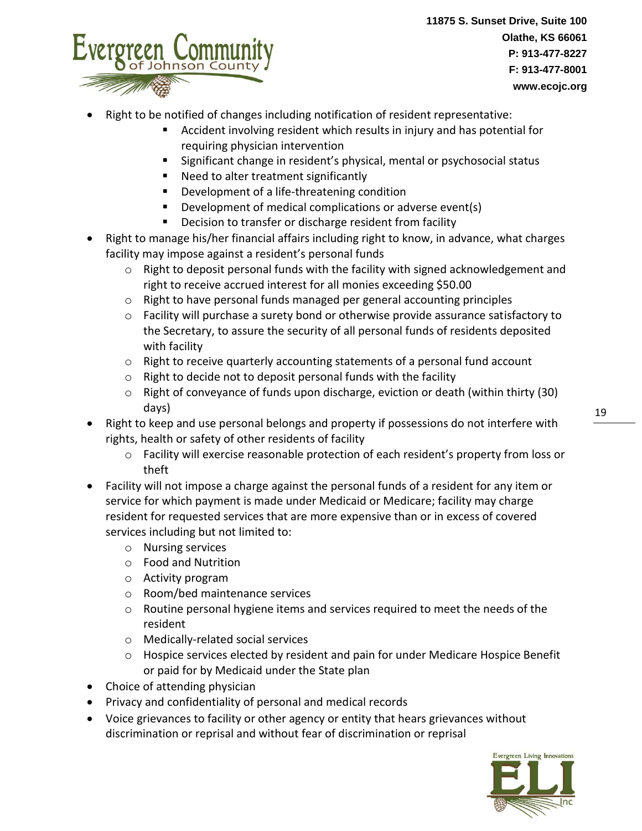

- Right to be notified of changes including notification of resident representative:
	- Accident involving resident which results in injury and has potential for requiring physician intervention
	- Significant change in resident's physical, mental or psychosocial status
	- Need to alter treatment significantly
	- Development of a life-threatening condition
	- Development of medical complications or adverse event(s)
	- Decision to transfer or discharge resident from facility
- Right to manage his/her financial affairs including right to know, in advance, what charges facility may impose against a resident's personal funds
	- $\circ$  Right to deposit personal funds with the facility with signed acknowledgement and right to receive accrued interest for all monies exceeding \$50.00
	- o Right to have personal funds managed per general accounting principles
	- $\circ$  Facility will purchase a surety bond or otherwise provide assurance satisfactory to the Secretary, to assure the security of all personal funds of residents deposited with facility
	- $\circ$  Right to receive quarterly accounting statements of a personal fund account
	- o Right to decide not to deposit personal funds with the facility
	- $\circ$  Right of conveyance of funds upon discharge, eviction or death (within thirty (30) days)
- Right to keep and use personal belongs and property if possessions do not interfere with rights, health or safety of other residents of facility
	- o Facility will exercise reasonable protection of each resident's property from loss or theft
- Facility will not impose a charge against the personal funds of a resident for any item or service for which payment is made under Medicaid or Medicare; facility may charge resident for requested services that are more expensive than or in excess of covered services including but not limited to:
	- o Nursing services
	- o Food and Nutrition
	- o Activity program
	- o Room/bed maintenance services
	- $\circ$  Routine personal hygiene items and services required to meet the needs of the resident
	- o Medically-related social services
	- o Hospice services elected by resident and pain for under Medicare Hospice Benefit or paid for by Medicaid under the State plan
- Choice of attending physician
- Privacy and confidentiality of personal and medical records
- Voice grievances to facility or other agency or entity that hears grievances without discrimination or reprisal and without fear of discrimination or reprisal

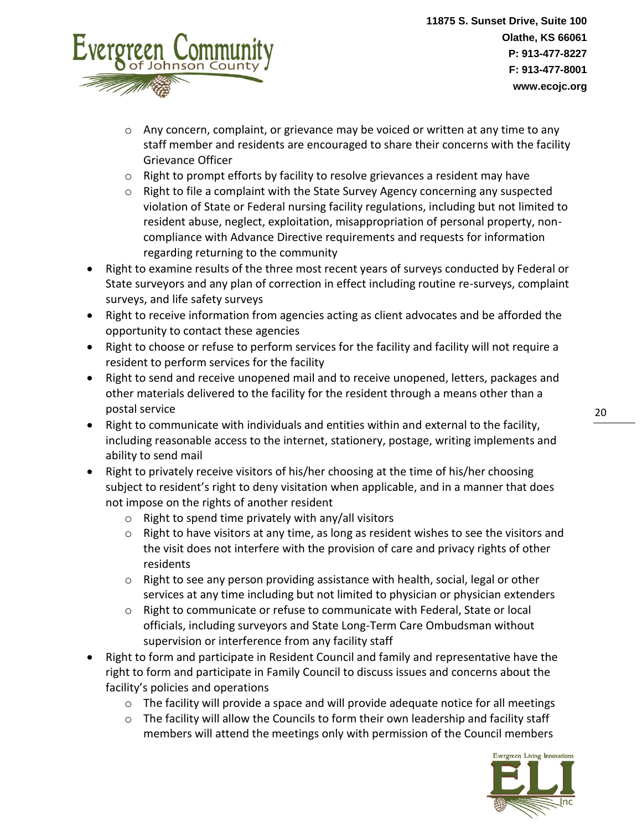

- $\circ$  Any concern, complaint, or grievance may be voiced or written at any time to any staff member and residents are encouraged to share their concerns with the facility Grievance Officer
- o Right to prompt efforts by facility to resolve grievances a resident may have
- o Right to file a complaint with the State Survey Agency concerning any suspected violation of State or Federal nursing facility regulations, including but not limited to resident abuse, neglect, exploitation, misappropriation of personal property, noncompliance with Advance Directive requirements and requests for information regarding returning to the community
- Right to examine results of the three most recent years of surveys conducted by Federal or State surveyors and any plan of correction in effect including routine re-surveys, complaint surveys, and life safety surveys
- Right to receive information from agencies acting as client advocates and be afforded the opportunity to contact these agencies
- Right to choose or refuse to perform services for the facility and facility will not require a resident to perform services for the facility
- Right to send and receive unopened mail and to receive unopened, letters, packages and other materials delivered to the facility for the resident through a means other than a postal service
- Right to communicate with individuals and entities within and external to the facility, including reasonable access to the internet, stationery, postage, writing implements and ability to send mail
- Right to privately receive visitors of his/her choosing at the time of his/her choosing subject to resident's right to deny visitation when applicable, and in a manner that does not impose on the rights of another resident
	- $\circ$  Right to spend time privately with any/all visitors
	- $\circ$  Right to have visitors at any time, as long as resident wishes to see the visitors and the visit does not interfere with the provision of care and privacy rights of other residents
	- $\circ$  Right to see any person providing assistance with health, social, legal or other services at any time including but not limited to physician or physician extenders
	- o Right to communicate or refuse to communicate with Federal, State or local officials, including surveyors and State Long-Term Care Ombudsman without supervision or interference from any facility staff
- Right to form and participate in Resident Council and family and representative have the right to form and participate in Family Council to discuss issues and concerns about the facility's policies and operations
	- o The facility will provide a space and will provide adequate notice for all meetings
	- $\circ$  The facility will allow the Councils to form their own leadership and facility staff members will attend the meetings only with permission of the Council members

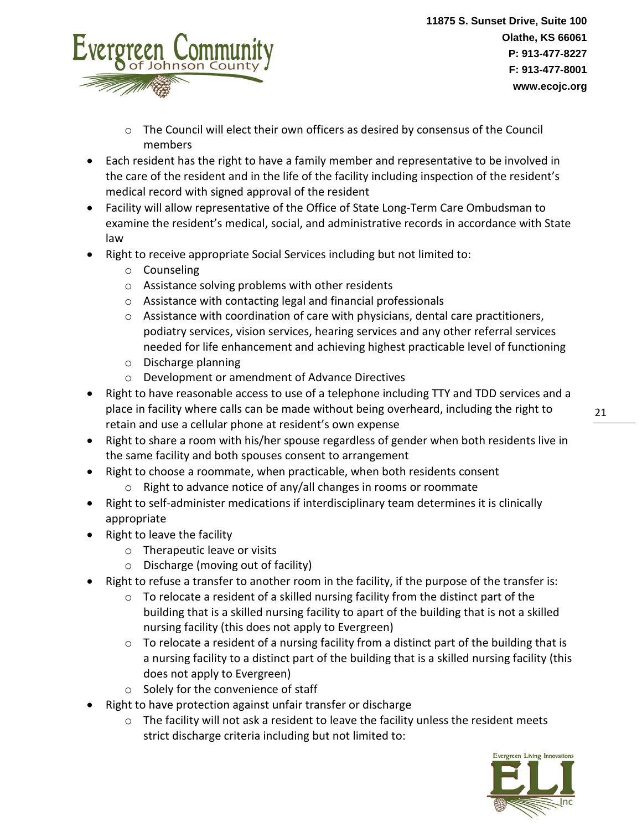

- $\circ$  The Council will elect their own officers as desired by consensus of the Council members
- Each resident has the right to have a family member and representative to be involved in the care of the resident and in the life of the facility including inspection of the resident's medical record with signed approval of the resident
- Facility will allow representative of the Office of State Long-Term Care Ombudsman to examine the resident's medical, social, and administrative records in accordance with State law
- Right to receive appropriate Social Services including but not limited to:
	- o Counseling
	- o Assistance solving problems with other residents
	- o Assistance with contacting legal and financial professionals
	- $\circ$  Assistance with coordination of care with physicians, dental care practitioners, podiatry services, vision services, hearing services and any other referral services needed for life enhancement and achieving highest practicable level of functioning
	- o Discharge planning
	- o Development or amendment of Advance Directives
- Right to have reasonable access to use of a telephone including TTY and TDD services and a place in facility where calls can be made without being overheard, including the right to retain and use a cellular phone at resident's own expense
- Right to share a room with his/her spouse regardless of gender when both residents live in the same facility and both spouses consent to arrangement
- Right to choose a roommate, when practicable, when both residents consent
	- o Right to advance notice of any/all changes in rooms or roommate
- Right to self-administer medications if interdisciplinary team determines it is clinically appropriate
- Right to leave the facility
	- o Therapeutic leave or visits
	- o Discharge (moving out of facility)
- Right to refuse a transfer to another room in the facility, if the purpose of the transfer is:
	- o To relocate a resident of a skilled nursing facility from the distinct part of the building that is a skilled nursing facility to apart of the building that is not a skilled nursing facility (this does not apply to Evergreen)
	- $\circ$  To relocate a resident of a nursing facility from a distinct part of the building that is a nursing facility to a distinct part of the building that is a skilled nursing facility (this does not apply to Evergreen)
	- o Solely for the convenience of staff
- Right to have protection against unfair transfer or discharge
	- o The facility will not ask a resident to leave the facility unless the resident meets strict discharge criteria including but not limited to:

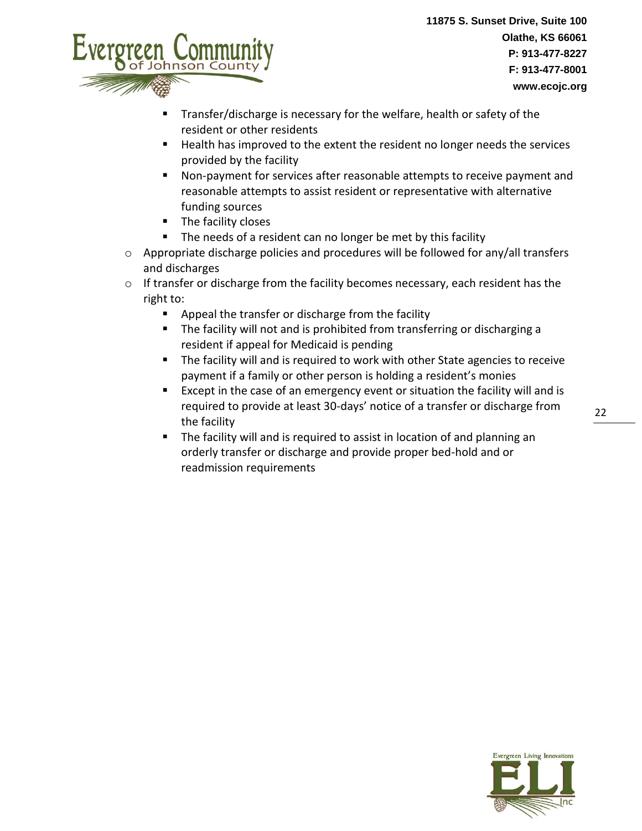

- Transfer/discharge is necessary for the welfare, health or safety of the resident or other residents
- Health has improved to the extent the resident no longer needs the services provided by the facility
- Non-payment for services after reasonable attempts to receive payment and reasonable attempts to assist resident or representative with alternative funding sources
- The facility closes
- The needs of a resident can no longer be met by this facility
- $\circ$  Appropriate discharge policies and procedures will be followed for any/all transfers and discharges
- o If transfer or discharge from the facility becomes necessary, each resident has the right to:
	- Appeal the transfer or discharge from the facility
	- The facility will not and is prohibited from transferring or discharging a resident if appeal for Medicaid is pending
	- The facility will and is required to work with other State agencies to receive payment if a family or other person is holding a resident's monies
	- Except in the case of an emergency event or situation the facility will and is required to provide at least 30-days' notice of a transfer or discharge from the facility
	- The facility will and is required to assist in location of and planning an orderly transfer or discharge and provide proper bed-hold and or readmission requirements



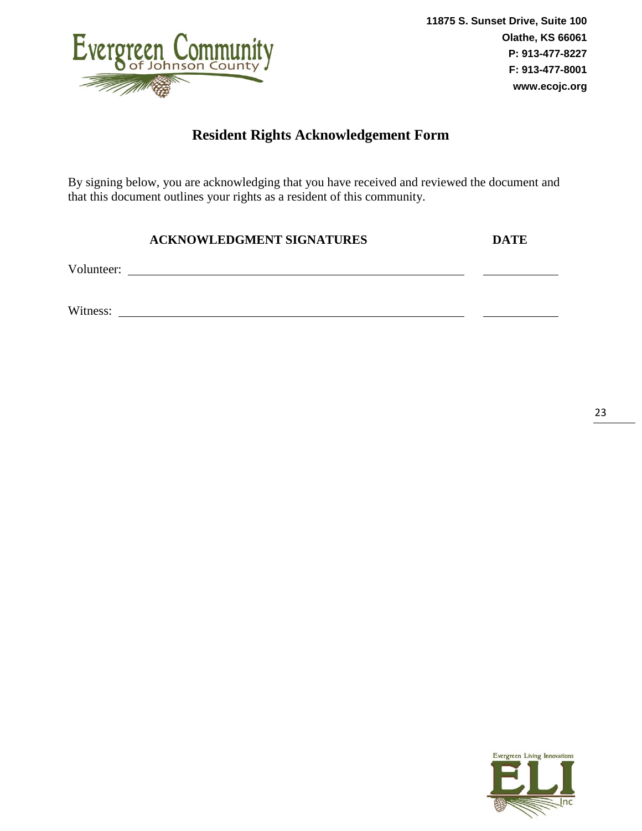

### **Resident Rights Acknowledgement Form**

By signing below, you are acknowledging that you have received and reviewed the document and that this document outlines your rights as a resident of this community.

| <b>ACKNOWLEDGMENT SIGNATURES</b> | DATE |
|----------------------------------|------|
|                                  |      |

Volunteer:

Witness:



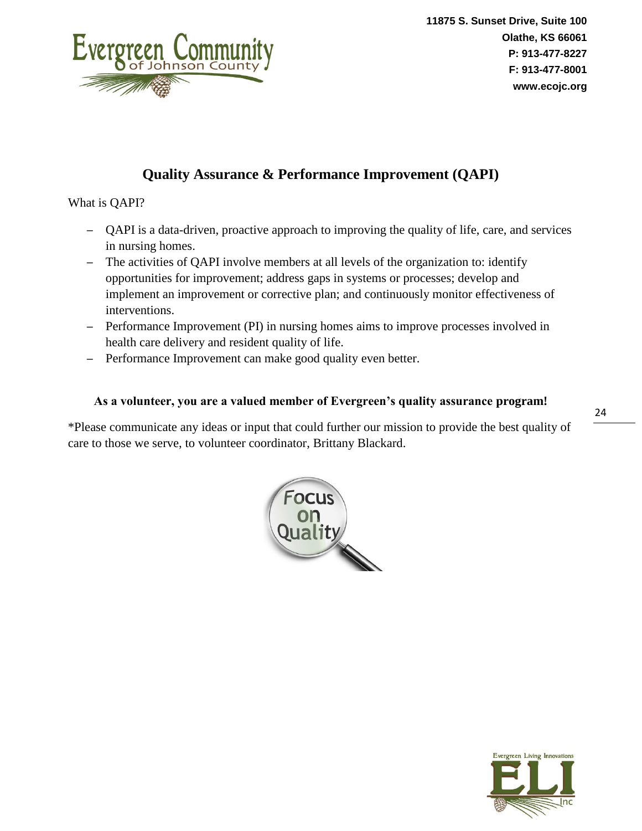

### **Quality Assurance & Performance Improvement (QAPI)**

What is QAPI?

- QAPI is a data-driven, proactive approach to improving the quality of life, care, and services in nursing homes.
- The activities of QAPI involve members at all levels of the organization to: identify opportunities for improvement; address gaps in systems or processes; develop and implement an improvement or corrective plan; and continuously monitor effectiveness of interventions.
- Performance Improvement (PI) in nursing homes aims to improve processes involved in health care delivery and resident quality of life.
- Performance Improvement can make good quality even better.

#### **As a volunteer, you are a valued member of Evergreen's quality assurance program!**

\*Please communicate any ideas or input that could further our mission to provide the best quality of care to those we serve, to volunteer coordinator, Brittany Blackard.



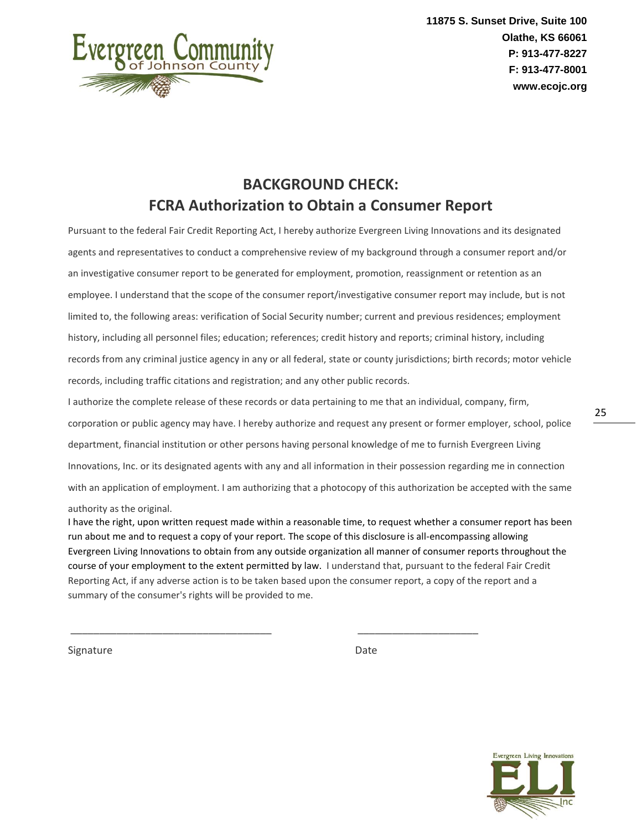

### **BACKGROUND CHECK: FCRA Authorization to Obtain a Consumer Report**

Pursuant to the federal Fair Credit Reporting Act, I hereby authorize Evergreen Living Innovations and its designated agents and representatives to conduct a comprehensive review of my background through a consumer report and/or an investigative consumer report to be generated for employment, promotion, reassignment or retention as an employee. I understand that the scope of the consumer report/investigative consumer report may include, but is not limited to, the following areas: verification of Social Security number; current and previous residences; employment history, including all personnel files; education; references; credit history and reports; criminal history, including records from any criminal justice agency in any or all federal, state or county jurisdictions; birth records; motor vehicle records, including traffic citations and registration; and any other public records.

I authorize the complete release of these records or data pertaining to me that an individual, company, firm, corporation or public agency may have. I hereby authorize and request any present or former employer, school, police department, financial institution or other persons having personal knowledge of me to furnish Evergreen Living Innovations, Inc. or its designated agents with any and all information in their possession regarding me in connection with an application of employment. I am authorizing that a photocopy of this authorization be accepted with the same

#### authority as the original.

I have the right, upon written request made within a reasonable time, to request whether a consumer report has been run about me and to request a copy of your report. The scope of this disclosure is all-encompassing allowing Evergreen Living Innovations to obtain from any outside organization all manner of consumer reports throughout the course of your employment to the extent permitted by law. I understand that, pursuant to the federal Fair Credit Reporting Act, if any adverse action is to be taken based upon the consumer report, a copy of the report and a summary of the consumer's rights will be provided to me.

\_\_\_\_\_\_\_\_\_\_\_\_\_\_\_\_\_\_\_\_\_\_\_\_\_\_\_\_\_\_\_\_\_\_\_ \_\_\_\_\_\_\_\_\_\_\_\_\_\_\_\_\_\_\_\_\_

Signature Date Date